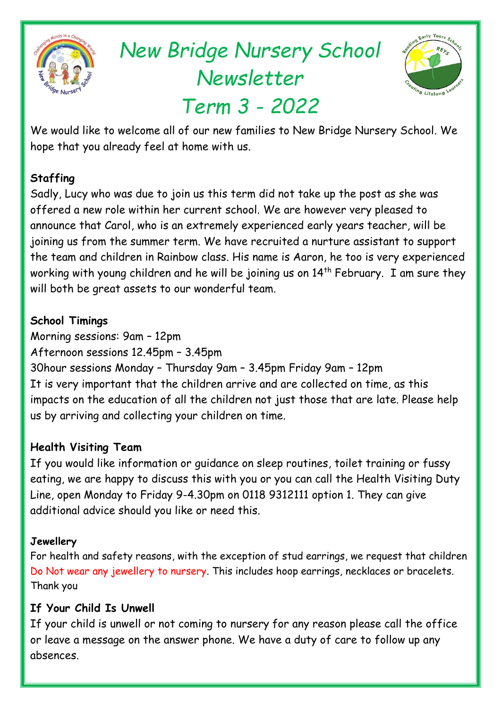

# *New Bridge Nursery School Newsletter Term 3 - 2022*



We would like to welcome all of our new families to New Bridge Nursery School. We hope that you already feel at home with us.

# **Staffing**

Sadly, Lucy who was due to join us this term did not take up the post as she was offered a new role within her current school. We are however very pleased to announce that Carol, who is an extremely experienced early years teacher, will be joining us from the summer term. We have recruited a nurture assistant to support the team and children in Rainbow class. His name is Aaron, he too is very experienced working with young children and he will be joining us on  $14<sup>th</sup>$  February. I am sure they will both be great assets to our wonderful team.

# **School Timings**

Morning sessions: 9am – 12pm Afternoon sessions 12.45pm – 3.45pm

30hour sessions Monday – Thursday 9am – 3.45pm Friday 9am – 12pm It is very important that the children arrive and are collected on time, as this impacts on the education of all the children not just those that are late. Please help us by arriving and collecting your children on time.

# **Health Visiting Team**

If you would like information or guidance on sleep routines, toilet training or fussy eating, we are happy to discuss this with you or you can call the Health Visiting Duty Line, open Monday to Friday 9-4.30pm on 0118 9312111 option 1. They can give additional advice should you like or need this.

## **Jewellery**

For health and safety reasons, with the exception of stud earrings, we request that children Do Not wear any jewellery to nursery. This includes hoop earrings, necklaces or bracelets. Thank you

# **If Your Child Is Unwell**

If your child is unwell or not coming to nursery for any reason please call the office or leave a message on the answer phone. We have a duty of care to follow up any absences.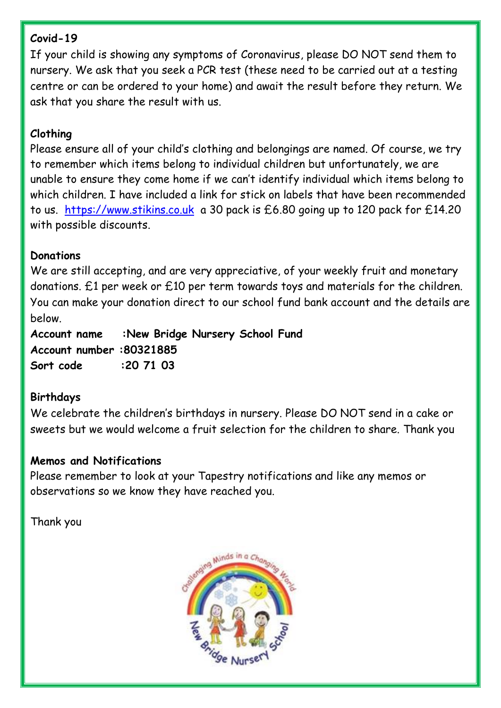## **Covid-19**

If your child is showing any symptoms of Coronavirus, please DO NOT send them to nursery. We ask that you seek a PCR test (these need to be carried out at a testing centre or can be ordered to your home) and await the result before they return. We ask that you share the result with us.

## **Clothing**

Please ensure all of your child's clothing and belongings are named. Of course, we try to remember which items belong to individual children but unfortunately, we are unable to ensure they come home if we can't identify individual which items belong to which children. I have included a link for stick on labels that have been recommended to us. [https://www.stikins.co.uk](https://www.stikins.co.uk/) a 30 pack is £6.80 going up to 120 pack for £14.20 with possible discounts.

## **Donations**

We are still accepting, and are very appreciative, of your weekly fruit and monetary donations. £1 per week or £10 per term towards toys and materials for the children. You can make your donation direct to our school fund bank account and the details are below.

**Account name :New Bridge Nursery School Fund Account number :80321885 Sort code :20 71 03**

#### **Birthdays**

We celebrate the children's birthdays in nursery. Please DO NOT send in a cake or sweets but we would welcome a fruit selection for the children to share. Thank you

#### **Memos and Notifications**

Please remember to look at your Tapestry notifications and like any memos or observations so we know they have reached you.

Thank you